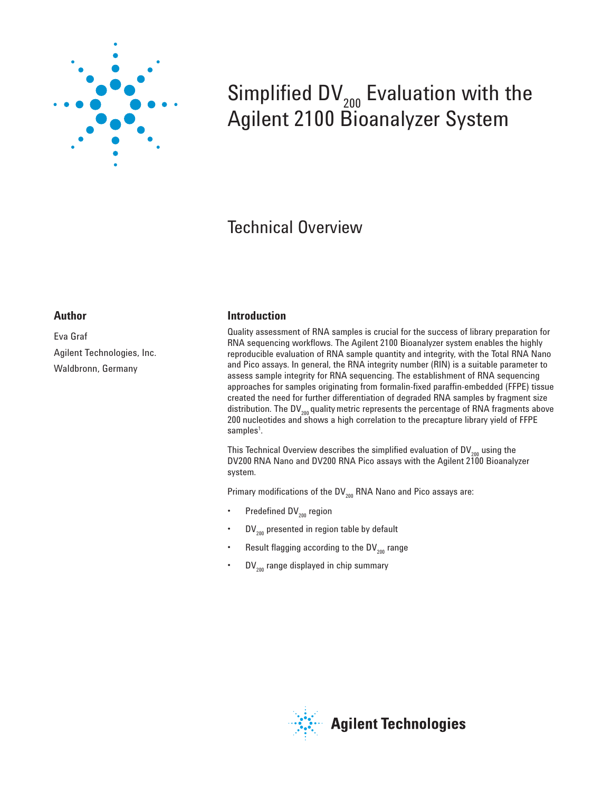

# Simplified  $DV_{200}$  Evaluation with the Agilent 2100 Bioanalyzer System

## Technical Overview

### **Author**

Eva Graf Agilent Technologies, Inc. Waldbronn, Germany

### **Introduction**

Quality assessment of RNA samples is crucial for the success of library preparation for RNA sequencing workflows. The Agilent 2100 Bioanalyzer system enables the highly reproducible evaluation of RNA sample quantity and integrity, with the Total RNA Nano and Pico assays. In general, the RNA integrity number (RIN) is a suitable parameter to assess sample integrity for RNA sequencing. The establishment of RNA sequencing approaches for samples originating from formalin-fixed paraffin-embedded (FFPE) tissue created the need for further differentiation of degraded RNA samples by fragment size distribution. The DV $_{200}$  quality metric represents the percentage of RNA fragments above 200 nucleotides and shows a high correlation to the precapture library yield of FFPE samples<sup>1</sup>.

This Technical Overview describes the simplified evaluation of  $DV_{200}$  using the DV200 RNA Nano and DV200 RNA Pico assays with the Agilent 2100 Bioanalyzer system.

Primary modifications of the  $DV_{200}$  RNA Nano and Pico assays are:

- Predefined  $DV_{200}$  region
- $DV_{200}$  presented in region table by default
- Result flagging according to the  $DV_{200}$  range
- $DV_{200}$  range displayed in chip summary

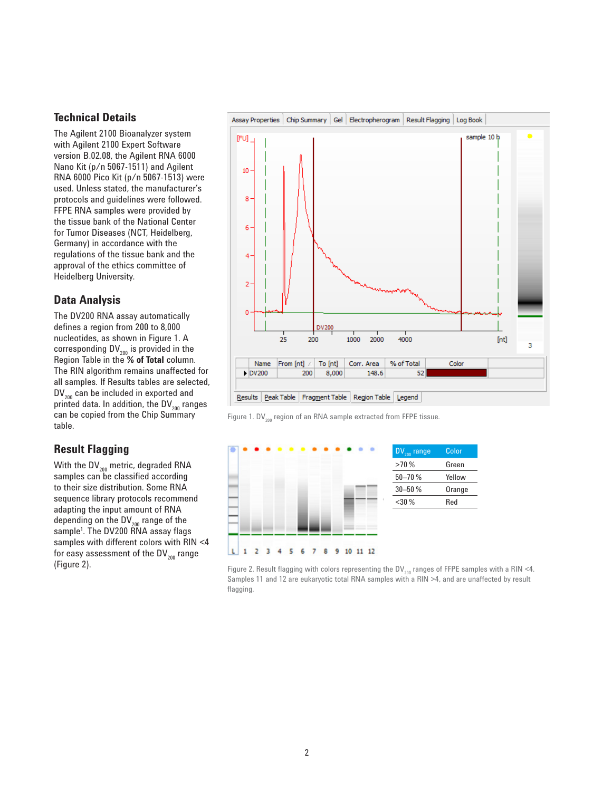#### **Technical Details**

The Agilent 2100 Bioanalyzer system with Agilent 2100 Expert Software version B.02.08, the Agilent RNA 6000 Nano Kit (p/n 5067-1511) and Agilent RNA 6000 Pico Kit (p/n 5067-1513) were used. Unless stated, the manufacturer's protocols and guidelines were followed. FFPE RNA samples were provided by the tissue bank of the National Center for Tumor Diseases (NCT, Heidelberg, Germany) in accordance with the regulations of the tissue bank and the approval of the ethics committee of Heidelberg University.

#### **Data Analysis**

The DV200 RNA assay automatically defines a region from 200 to 8,000 nucleotides, as shown in Figure 1. A corresponding  $DV_{200}$  is provided in the Region Table in the **% of Total** column. The RIN algorithm remains unaffected for all samples. If Results tables are selected,  $DV_{200}$  can be included in exported and printed data. In addition, the DV $_{200}$  ranges can be copied from the Chip Summary table.

### **Result Flagging**

With the  $DV_{200}$  metric, degraded RNA samples can be classified according to their size distribution. Some RNA sequence library protocols recommend adapting the input amount of RNA depending on the  $DV_{200}$  range of the sample1 . The DV200 RNA assay flags samples with different colors with RIN <4 for easy assessment of the  $DV_{200}$  range (Figure 2).



Figure 1. DV $_{200}$  region of an RNA sample extracted from FFPE tissue.



Figure 2. Result flagging with colors representing the DV<sub>200</sub> ranges of FFPE samples with a RIN <4. Samples 11 and 12 are eukaryotic total RNA samples with a RIN >4, and are unaffected by result flagging.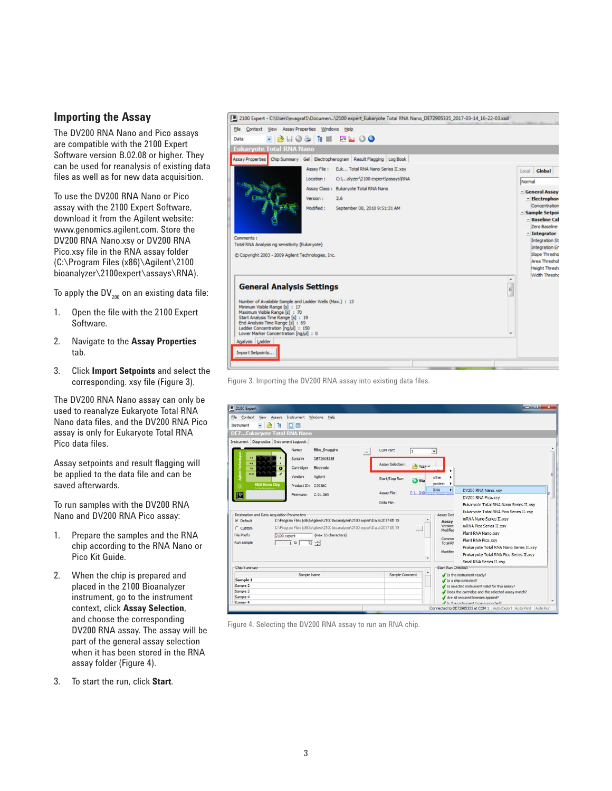#### **Importing the Assay**

The DV200 RNA Nano and Pico assays are compatible with the 2100 Expert Software version B.02.08 or higher. They can be used for reanalysis of existing data files as well as for new data acquisition.

To use the DV200 RNA Nano or Pico assay with the 2100 Expert Software, download it from the Agilent website: www.genomics.agilent.com. Store the DV200 RNA Nano.xsy or DV200 RNA Pico.xsy file in the RNA assay folder (C:\Program Files (x86)\Agilent\2100 bioanalyzer\2100expert\assays\RNA).

To apply the  $DV_{200}$  on an existing data file:

- 1. Open the file with the 2100 Expert Software.
- 2. Navigate to the **Assay Properties** tab.
- 3. Click **Import Setpoints** and select the corresponding. xsy file (Figure 3).

The DV200 RNA Nano assay can only be used to reanalyze Eukaryote Total RNA Nano data files, and the DV200 RNA Pico assay is only for Eukaryote Total RNA Pico data files.

Assay setpoints and result flagging will be applied to the data file and can be saved afterwards.

To run samples with the DV200 RNA Nano and DV200 RNA Pico assay:

- 1. Prepare the samples and the RNA chip according to the RNA Nano or Pico Kit Guide.
- 2. When the chip is prepared and placed in the 2100 Bioanalyzer instrument, go to the instrument context, click **Assay Selection**, and choose the corresponding DV200 RNA assay. The assay will be part of the general assay selection when it has been stored in the RNA assay folder (Figure 4).
- 3. To start the run, click **Start**.





| File Context View<br>Assays Instrument Windows Help<br>DE<br><b>F</b><br>P<br>Instrument<br>$\cdot$<br><b>DE7Eukaryote Total RNA Nano</b><br>Instrument Diagnostics Instrument Logbook<br>Name:<br><b>Bilbo</b> Swaggins<br><b>COM Port</b><br>I1<br>٠<br>$\cdots$<br>Serial#:<br>DE72905335<br>$4-4$<br><b>Assay Selection:</b>                                                                                                                                                                                                                                                                                                                                                                                         |  |
|--------------------------------------------------------------------------------------------------------------------------------------------------------------------------------------------------------------------------------------------------------------------------------------------------------------------------------------------------------------------------------------------------------------------------------------------------------------------------------------------------------------------------------------------------------------------------------------------------------------------------------------------------------------------------------------------------------------------------|--|
| <b>Assaure</b><br>Cartridge:<br>Electrode<br>$2-3$<br>$\bullet$<br>Vendor:<br>Agilent<br>other<br>Start/Stop Run:<br>Sta<br>protein<br>٠<br><b>RNA Nano Chip</b><br>Product ID: G2938C<br><b>RNA</b><br>٠<br>DV200 RNA Nano, xsv<br>Assay File:<br>$C:$ 210<br>r<br>C.01.069<br>Firmware:<br>DV200 RNA Pico.xsy<br>Data File:<br>Eukaryote Total RNA Nano Series II.xsy                                                                                                                                                                                                                                                                                                                                                  |  |
| Eukaryote Total RNA Pico Series II.xsy<br>Destination and Data Acquisition Parameters<br>Assay Det<br>mRNA Nano Series II.xsy<br>C:\Program Files [x86]\Agilent\2100 bioanalyzer\2100 expert\Data\2017-05-19<br><b>G</b> Default<br>Assay<br>Version:<br>mRNA Pico Series II.xsy<br>C:\Program Files [x86]\Agilent\2100 bioanalyzer\2100 expert\Data\2017-05-19<br>C Custom<br>1.11<br>Modified<br>Plant RNA Nano.xsy<br>File Prefix<br>(max 16 characters)<br>2100 expert<br>Commer<br>Plant RNA Pico.xsv<br>Run sample<br>$\overline{12}$ $\div$<br>$\frac{1}{1}$ to $\left[$<br>Total Rf<br>Prokaryote Total RNA Nano Series II.xsy<br>Modified<br>Prokarvote Total RNA Pico Series II.xsv<br>Small RNA Series II.xsv |  |
| Chip Summary<br><b>Start Run Checklist</b><br>Sample Name<br>Sample Comment                                                                                                                                                                                                                                                                                                                                                                                                                                                                                                                                                                                                                                              |  |
| $J$ Is the instrument ready?<br>Sample 1<br>Is a chip detected?<br>Sample 2<br>Is selected instrument valid for this assay?<br>Sample 3<br>Does the cartridge and the selected assay match?<br>Sample 4<br>Are all required licenses applied?<br>Sample 5<br>I Te the instrument tune cumminari)                                                                                                                                                                                                                                                                                                                                                                                                                         |  |

Figure 4. Selecting the DV200 RNA assay to run an RNA chip.